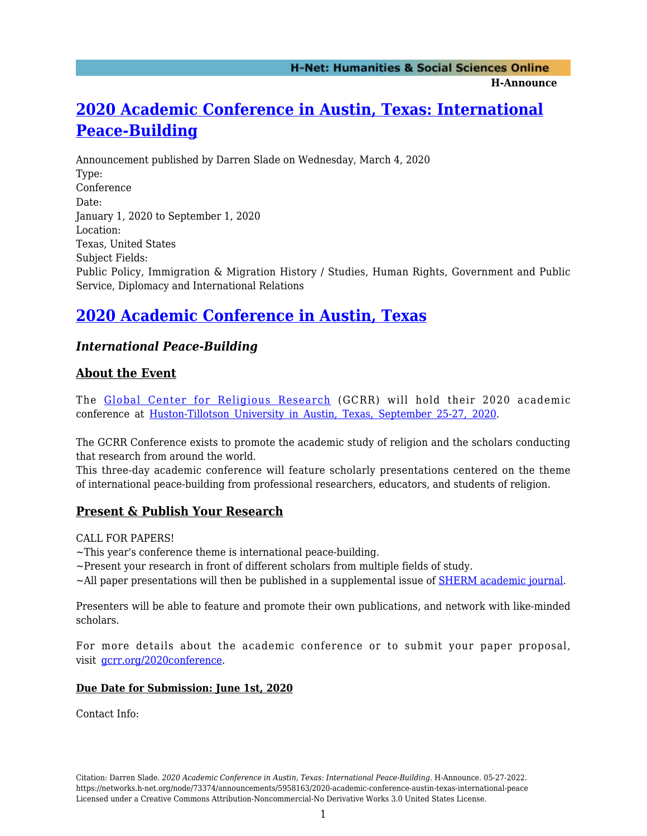**H-Announce** 

# **[2020 Academic Conference in Austin, Texas: International](https://networks.h-net.org/node/73374/announcements/5958163/2020-academic-conference-austin-texas-international-peace) [Peace-Building](https://networks.h-net.org/node/73374/announcements/5958163/2020-academic-conference-austin-texas-international-peace)**

Announcement published by Darren Slade on Wednesday, March 4, 2020 Type: Conference Date: January 1, 2020 to September 1, 2020 Location: Texas, United States Subject Fields: Public Policy, Immigration & Migration History / Studies, Human Rights, Government and Public Service, Diplomacy and International Relations

## **[2020 Academic Conference in Austin, Texas](https://www.gcrr.org/2020conference)**

### *International Peace-Building*

### **About the Event**

The [Global Center for Religious Research](http://www.gcrr.org) (GCRR) will hold their 2020 academic conference at [Huston-Tillotson University in Austin, Texas, September 25-27, 2020.](https://htu.edu/)

The GCRR Conference exists to promote the academic study of religion and the scholars conducting that research from around the world.

This three-day academic conference will feature scholarly presentations centered on the theme of international peace-building from professional researchers, educators, and students of religion.

### **Present & Publish Your Research**

CALL FOR PAPERS!

~This year's conference theme is international peace-building.

 $\sim$ Present your research in front of different scholars from multiple fields of study.

~All paper presentations will then be published in a supplemental issue of **SHERM** academic journal.

Presenters will be able to feature and promote their own publications, and network with like-minded scholars.

For more details about the academic conference or to submit your paper proposal, visit [gcrr.org/2020conference](https://www.gcrr.org/2020conference).

#### **Due Date for Submission: June 1st, 2020**

Contact Info: